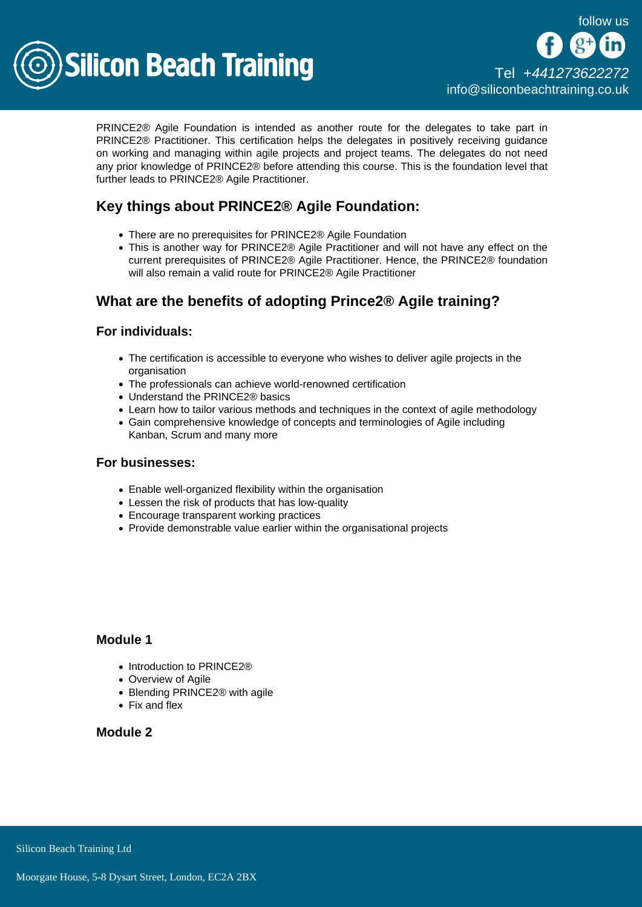

PRINCE2® Agile Foundation is intended as another route for the delegates to take part in PRINCE2® Practitioner. This certification helps the delegates in positively receiving guidance on working and managing within agile projects and project teams. The delegates do not need any prior knowledge of PRINCE2® before attending this course. This is the foundation level that further leads to PRINCE2® Agile Practitioner.

## Key things about PRINCE2® Agile Foundation:

- There are no prerequisites for PRINCE2® Agile Foundation
- This is another way for PRINCE2<sup>®</sup> Agile Practitioner and will not have any effect on the current prerequisites of PRINCE2® Agile Practitioner. Hence, the PRINCE2® foundation will also remain a valid route for PRINCE2® Agile Practitioner

# What are the benefits of adopting Prince2  $\circledR$  Agile training?

For individuals:

- The certification is accessible to everyone who wishes to deliver agile projects in the organisation
- The professionals can achieve world-renowned certification
- Understand the PRINCE2® basics
- Learn how to tailor various methods and techniques in the context of agile methodology
- Gain comprehensive knowledge of concepts and terminologies of Agile including Kanban, Scrum and many more

#### For businesses:

- Enable well-organized flexibility within the organisation
- Lessen the risk of products that has low-quality
- Encourage transparent working practices
- Provide demonstrable value earlier within the organisational projects

#### Module 1

- Introduction to PRINCE2<sup>®</sup>
- Overview of Agile
- Blending PRINCE2<sup>®</sup> with agile
- Fix and flex

### Module 2

Silicon Beach Training Ltd